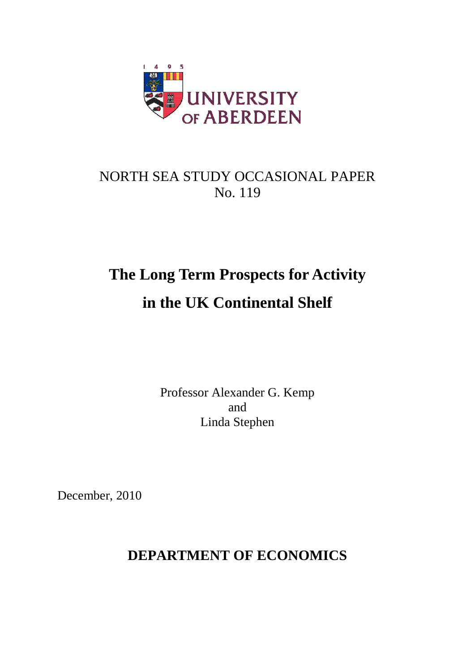

# NORTH SEA STUDY OCCASIONAL PAPER No. 119

# **The Long Term Prospects for Activity in the UK Continental Shelf**

Professor Alexander G. Kemp and Linda Stephen

December, 2010

### **DEPARTMENT OF ECONOMICS**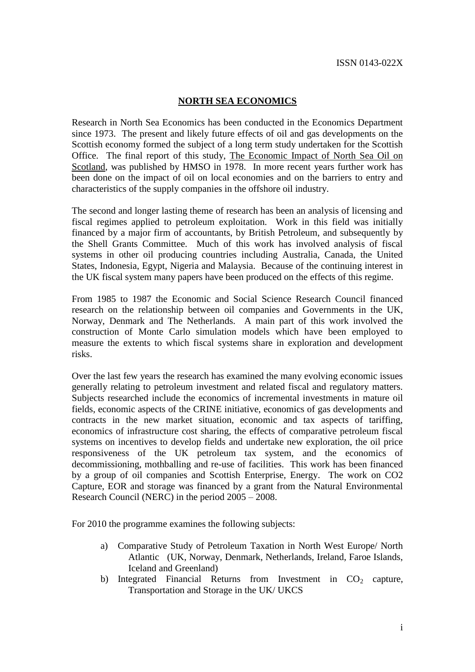#### **NORTH SEA ECONOMICS**

Research in North Sea Economics has been conducted in the Economics Department since 1973. The present and likely future effects of oil and gas developments on the Scottish economy formed the subject of a long term study undertaken for the Scottish Office. The final report of this study, The Economic Impact of North Sea Oil on Scotland, was published by HMSO in 1978. In more recent years further work has been done on the impact of oil on local economies and on the barriers to entry and characteristics of the supply companies in the offshore oil industry.

The second and longer lasting theme of research has been an analysis of licensing and fiscal regimes applied to petroleum exploitation. Work in this field was initially financed by a major firm of accountants, by British Petroleum, and subsequently by the Shell Grants Committee. Much of this work has involved analysis of fiscal systems in other oil producing countries including Australia, Canada, the United States, Indonesia, Egypt, Nigeria and Malaysia. Because of the continuing interest in the UK fiscal system many papers have been produced on the effects of this regime.

From 1985 to 1987 the Economic and Social Science Research Council financed research on the relationship between oil companies and Governments in the UK, Norway, Denmark and The Netherlands. A main part of this work involved the construction of Monte Carlo simulation models which have been employed to measure the extents to which fiscal systems share in exploration and development risks.

Over the last few years the research has examined the many evolving economic issues generally relating to petroleum investment and related fiscal and regulatory matters. Subjects researched include the economics of incremental investments in mature oil fields, economic aspects of the CRINE initiative, economics of gas developments and contracts in the new market situation, economic and tax aspects of tariffing, economics of infrastructure cost sharing, the effects of comparative petroleum fiscal systems on incentives to develop fields and undertake new exploration, the oil price responsiveness of the UK petroleum tax system, and the economics of decommissioning, mothballing and re-use of facilities. This work has been financed by a group of oil companies and Scottish Enterprise, Energy. The work on CO2 Capture, EOR and storage was financed by a grant from the Natural Environmental Research Council (NERC) in the period 2005 – 2008.

For 2010 the programme examines the following subjects:

- a) Comparative Study of Petroleum Taxation in North West Europe/ North Atlantic (UK, Norway, Denmark, Netherlands, Ireland, Faroe Islands, Iceland and Greenland)
- b) Integrated Financial Returns from Investment in  $CO<sub>2</sub>$  capture, Transportation and Storage in the UK/ UKCS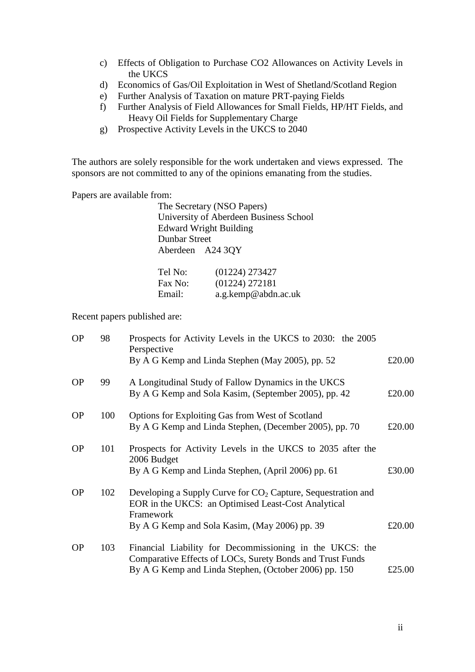- c) Effects of Obligation to Purchase CO2 Allowances on Activity Levels in the UKCS
- d) Economics of Gas/Oil Exploitation in West of Shetland/Scotland Region
- e) Further Analysis of Taxation on mature PRT-paying Fields
- f) Further Analysis of Field Allowances for Small Fields, HP/HT Fields, and Heavy Oil Fields for Supplementary Charge
- g) Prospective Activity Levels in the UKCS to 2040

The authors are solely responsible for the work undertaken and views expressed. The sponsors are not committed to any of the opinions emanating from the studies.

Papers are available from:

The Secretary (NSO Papers) University of Aberdeen Business School Edward Wright Building Dunbar Street Aberdeen A24 3QY

| Tel No: | (01224) 273427      |
|---------|---------------------|
| Fax No: | (01224) 272181      |
| Email:  | a.g.kemp@abdn.ac.uk |

Recent papers published are:

| <b>OP</b> | 98  | Prospects for Activity Levels in the UKCS to 2030: the 2005<br>Perspective                                                                                                          |        |
|-----------|-----|-------------------------------------------------------------------------------------------------------------------------------------------------------------------------------------|--------|
|           |     | By A G Kemp and Linda Stephen (May 2005), pp. 52                                                                                                                                    | £20.00 |
| <b>OP</b> | 99  | A Longitudinal Study of Fallow Dynamics in the UKCS<br>By A G Kemp and Sola Kasim, (September 2005), pp. 42                                                                         | £20.00 |
| <b>OP</b> | 100 | <b>Options for Exploiting Gas from West of Scotland</b><br>By A G Kemp and Linda Stephen, (December 2005), pp. 70                                                                   | £20.00 |
| <b>OP</b> | 101 | Prospects for Activity Levels in the UKCS to 2035 after the<br>2006 Budget<br>By A G Kemp and Linda Stephen, (April 2006) pp. 61                                                    | £30.00 |
| <b>OP</b> | 102 | Developing a Supply Curve for $CO2$ Capture, Sequestration and<br>EOR in the UKCS: an Optimised Least-Cost Analytical<br>Framework<br>By A G Kemp and Sola Kasim, (May 2006) pp. 39 | £20.00 |
| <b>OP</b> | 103 | Financial Liability for Decommissioning in the UKCS: the<br>Comparative Effects of LOCs, Surety Bonds and Trust Funds<br>By A G Kemp and Linda Stephen, (October 2006) pp. 150      | £25.00 |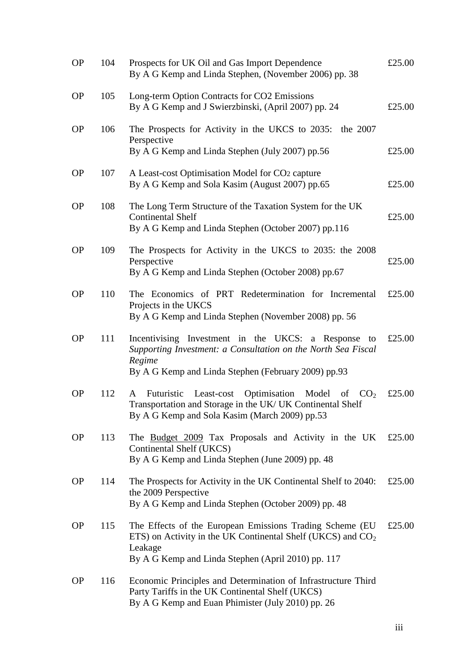| <b>OP</b> | 104 | Prospects for UK Oil and Gas Import Dependence<br>By A G Kemp and Linda Stephen, (November 2006) pp. 38                                                                                     | £25.00 |
|-----------|-----|---------------------------------------------------------------------------------------------------------------------------------------------------------------------------------------------|--------|
| <b>OP</b> | 105 | Long-term Option Contracts for CO2 Emissions<br>By A G Kemp and J Swierzbinski, (April 2007) pp. 24                                                                                         | £25.00 |
| <b>OP</b> | 106 | The Prospects for Activity in the UKCS to 2035: the 2007<br>Perspective<br>By A G Kemp and Linda Stephen (July 2007) pp.56                                                                  | £25.00 |
| <b>OP</b> | 107 | A Least-cost Optimisation Model for CO2 capture<br>By A G Kemp and Sola Kasim (August 2007) pp.65                                                                                           | £25.00 |
| <b>OP</b> | 108 | The Long Term Structure of the Taxation System for the UK<br><b>Continental Shelf</b><br>By A G Kemp and Linda Stephen (October 2007) pp.116                                                | £25.00 |
| <b>OP</b> | 109 | The Prospects for Activity in the UKCS to 2035: the 2008<br>Perspective<br>By A G Kemp and Linda Stephen (October 2008) pp.67                                                               | £25.00 |
| <b>OP</b> | 110 | The Economics of PRT Redetermination for Incremental<br>Projects in the UKCS<br>By A G Kemp and Linda Stephen (November 2008) pp. 56                                                        | £25.00 |
| <b>OP</b> | 111 | Incentivising Investment in the UKCS: a Response<br>to<br>Supporting Investment: a Consultation on the North Sea Fiscal<br>Regime<br>By A G Kemp and Linda Stephen (February 2009) pp.93    | £25.00 |
| <b>OP</b> | 112 | Optimisation Model of $CO2$<br>Futuristic<br>Least-cost<br>A<br>Transportation and Storage in the UK/ UK Continental Shelf<br>By A G Kemp and Sola Kasim (March 2009) pp.53                 | £25.00 |
| <b>OP</b> | 113 | The Budget 2009 Tax Proposals and Activity in the UK<br>Continental Shelf (UKCS)<br>By A G Kemp and Linda Stephen (June 2009) pp. 48                                                        | £25.00 |
| <b>OP</b> | 114 | The Prospects for Activity in the UK Continental Shelf to 2040:<br>the 2009 Perspective<br>By A G Kemp and Linda Stephen (October 2009) pp. 48                                              | £25.00 |
| <b>OP</b> | 115 | The Effects of the European Emissions Trading Scheme (EU)<br>ETS) on Activity in the UK Continental Shelf (UKCS) and $CO2$<br>Leakage<br>By A G Kemp and Linda Stephen (April 2010) pp. 117 | £25.00 |
| <b>OP</b> | 116 | Economic Principles and Determination of Infrastructure Third<br>Party Tariffs in the UK Continental Shelf (UKCS)<br>By A G Kemp and Euan Phimister (July 2010) pp. 26                      |        |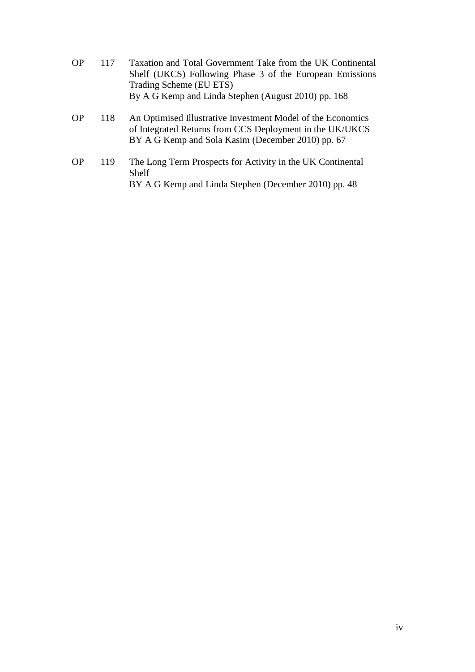- OP 117 Taxation and Total Government Take from the UK Continental Shelf (UKCS) Following Phase 3 of the European Emissions Trading Scheme (EU ETS) By A G Kemp and Linda Stephen (August 2010) pp. 168
- OP 118 An Optimised Illustrative Investment Model of the Economics of Integrated Returns from CCS Deployment in the UK/UKCS BY A G Kemp and Sola Kasim (December 2010) pp. 67
- OP 119 The Long Term Prospects for Activity in the UK Continental Shelf BY A G Kemp and Linda Stephen (December 2010) pp. 48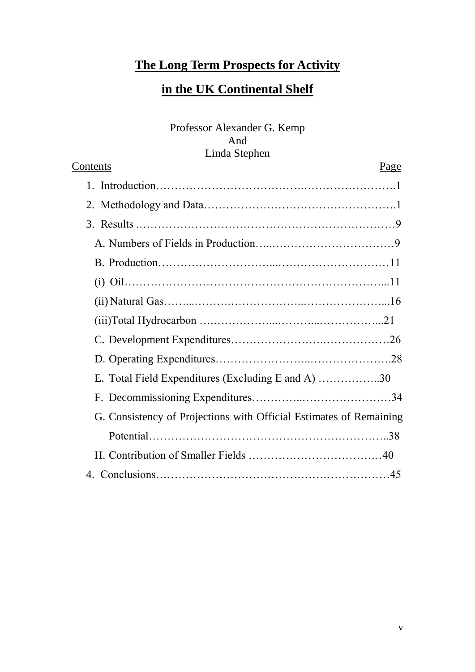## **The Long Term Prospects for Activity**

### **in the UK Continental Shelf**

Professor Alexander G. Kemp And Linda Stephen

| <u>Contents</u>                                                    | <u>Page</u> |
|--------------------------------------------------------------------|-------------|
|                                                                    |             |
|                                                                    |             |
|                                                                    |             |
|                                                                    |             |
|                                                                    |             |
|                                                                    |             |
|                                                                    |             |
|                                                                    |             |
|                                                                    |             |
|                                                                    |             |
| E. Total Field Expenditures (Excluding E and A) 30                 |             |
|                                                                    |             |
| G. Consistency of Projections with Official Estimates of Remaining |             |
|                                                                    |             |
|                                                                    |             |
|                                                                    |             |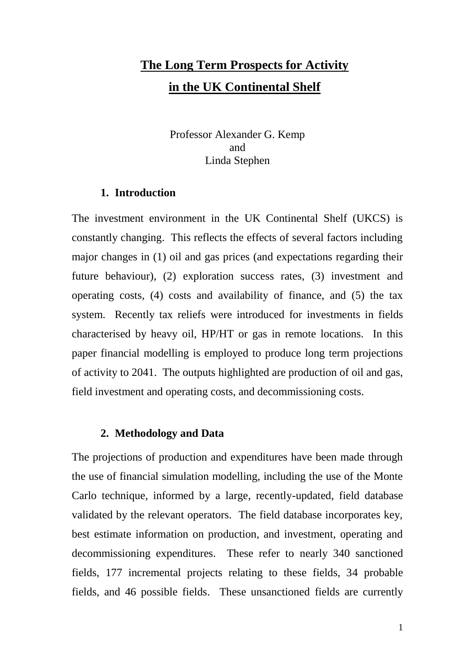# **The Long Term Prospects for Activity in the UK Continental Shelf**

Professor Alexander G. Kemp and Linda Stephen

#### **1. Introduction**

The investment environment in the UK Continental Shelf (UKCS) is constantly changing. This reflects the effects of several factors including major changes in (1) oil and gas prices (and expectations regarding their future behaviour), (2) exploration success rates, (3) investment and operating costs, (4) costs and availability of finance, and (5) the tax system. Recently tax reliefs were introduced for investments in fields characterised by heavy oil, HP/HT or gas in remote locations. In this paper financial modelling is employed to produce long term projections of activity to 2041. The outputs highlighted are production of oil and gas, field investment and operating costs, and decommissioning costs.

#### **2. Methodology and Data**

The projections of production and expenditures have been made through the use of financial simulation modelling, including the use of the Monte Carlo technique, informed by a large, recently-updated, field database validated by the relevant operators. The field database incorporates key, best estimate information on production, and investment, operating and decommissioning expenditures. These refer to nearly 340 sanctioned fields, 177 incremental projects relating to these fields, 34 probable fields, and 46 possible fields. These unsanctioned fields are currently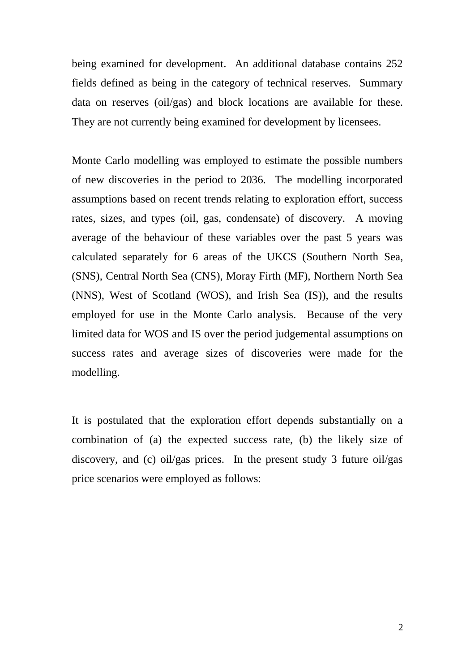being examined for development. An additional database contains 252 fields defined as being in the category of technical reserves. Summary data on reserves (oil/gas) and block locations are available for these. They are not currently being examined for development by licensees.

Monte Carlo modelling was employed to estimate the possible numbers of new discoveries in the period to 2036. The modelling incorporated assumptions based on recent trends relating to exploration effort, success rates, sizes, and types (oil, gas, condensate) of discovery. A moving average of the behaviour of these variables over the past 5 years was calculated separately for 6 areas of the UKCS (Southern North Sea, (SNS), Central North Sea (CNS), Moray Firth (MF), Northern North Sea (NNS), West of Scotland (WOS), and Irish Sea (IS)), and the results employed for use in the Monte Carlo analysis. Because of the very limited data for WOS and IS over the period judgemental assumptions on success rates and average sizes of discoveries were made for the modelling.

It is postulated that the exploration effort depends substantially on a combination of (a) the expected success rate, (b) the likely size of discovery, and (c) oil/gas prices. In the present study 3 future oil/gas price scenarios were employed as follows: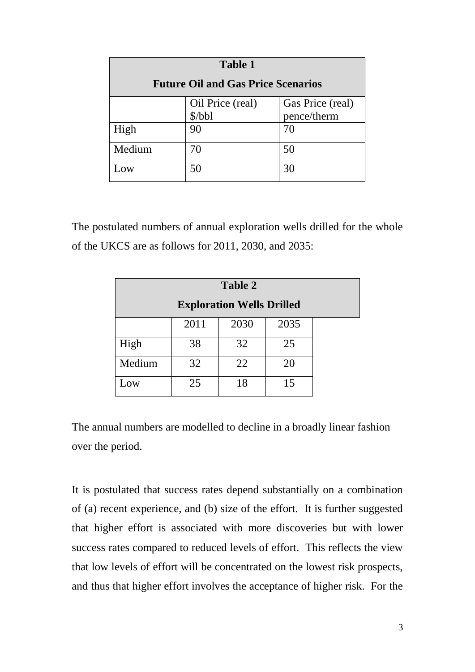| <b>Table 1</b>                            |                  |                  |
|-------------------------------------------|------------------|------------------|
| <b>Future Oil and Gas Price Scenarios</b> |                  |                  |
|                                           | Oil Price (real) | Gas Price (real) |
|                                           | \$/bbl           | pence/therm      |
| High                                      | 90               | 70               |
| Medium                                    | 70               | 50               |
| OΨ                                        | 50               | 30               |

The postulated numbers of annual exploration wells drilled for the whole of the UKCS are as follows for 2011, 2030, and 2035:

| Table 2                          |      |      |      |  |
|----------------------------------|------|------|------|--|
| <b>Exploration Wells Drilled</b> |      |      |      |  |
|                                  | 2011 | 2030 | 2035 |  |
| High                             | 38   | 32   | 25   |  |
| Medium                           | 32   | 22   | 20   |  |
| Low                              | 25   | 18   | 15   |  |

The annual numbers are modelled to decline in a broadly linear fashion over the period.

It is postulated that success rates depend substantially on a combination of (a) recent experience, and (b) size of the effort. It is further suggested that higher effort is associated with more discoveries but with lower success rates compared to reduced levels of effort. This reflects the view that low levels of effort will be concentrated on the lowest risk prospects, and thus that higher effort involves the acceptance of higher risk. For the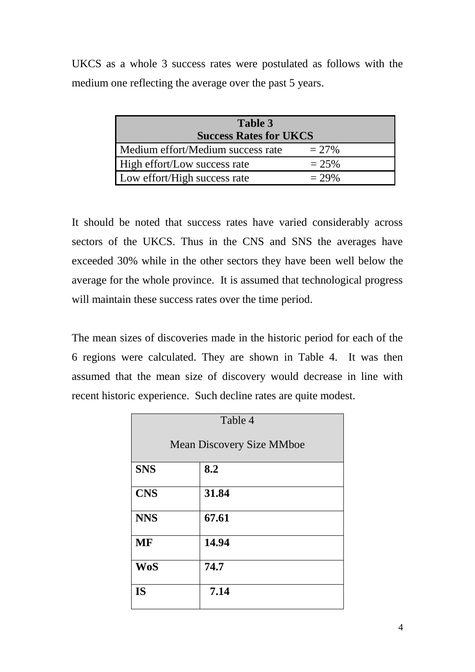UKCS as a whole 3 success rates were postulated as follows with the medium one reflecting the average over the past 5 years.

| Table 3<br><b>Success Rates for UKCS</b> |          |
|------------------------------------------|----------|
| Medium effort/Medium success rate        | $= 27\%$ |
| High effort/Low success rate             | $= 25\%$ |
| Low effort/High success rate             | $= 29\%$ |

It should be noted that success rates have varied considerably across sectors of the UKCS. Thus in the CNS and SNS the averages have exceeded 30% while in the other sectors they have been well below the average for the whole province. It is assumed that technological progress will maintain these success rates over the time period.

The mean sizes of discoveries made in the historic period for each of the 6 regions were calculated. They are shown in Table 4. It was then assumed that the mean size of discovery would decrease in line with recent historic experience. Such decline rates are quite modest.

| Table 4                          |       |
|----------------------------------|-------|
| <b>Mean Discovery Size MMboe</b> |       |
| <b>SNS</b>                       | 8.2   |
| <b>CNS</b>                       | 31.84 |
| <b>NNS</b>                       | 67.61 |
| <b>MF</b>                        | 14.94 |
| <b>WoS</b>                       | 74.7  |
| <b>IS</b>                        | 7.14  |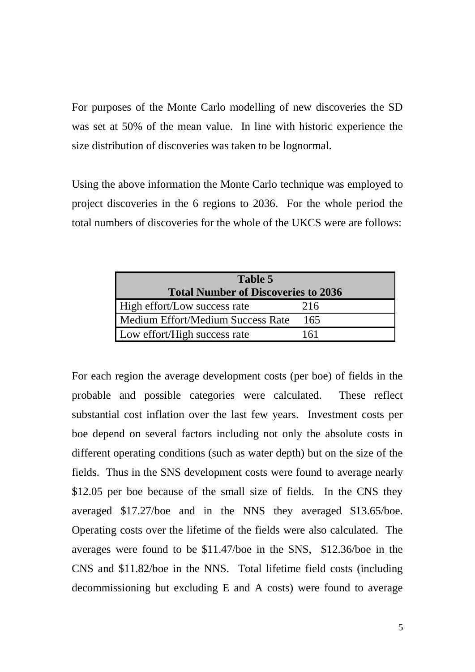For purposes of the Monte Carlo modelling of new discoveries the SD was set at 50% of the mean value. In line with historic experience the size distribution of discoveries was taken to be lognormal.

Using the above information the Monte Carlo technique was employed to project discoveries in the 6 regions to 2036. For the whole period the total numbers of discoveries for the whole of the UKCS were are follows:

| Table 5                                    |     |
|--------------------------------------------|-----|
| <b>Total Number of Discoveries to 2036</b> |     |
| High effort/Low success rate               | 216 |
| Medium Effort/Medium Success Rate          | 165 |
| Low effort/High success rate               | 161 |

For each region the average development costs (per boe) of fields in the probable and possible categories were calculated. These reflect substantial cost inflation over the last few years. Investment costs per boe depend on several factors including not only the absolute costs in different operating conditions (such as water depth) but on the size of the fields. Thus in the SNS development costs were found to average nearly \$12.05 per boe because of the small size of fields. In the CNS they averaged \$17.27/boe and in the NNS they averaged \$13.65/boe. Operating costs over the lifetime of the fields were also calculated. The averages were found to be \$11.47/boe in the SNS, \$12.36/boe in the CNS and \$11.82/boe in the NNS. Total lifetime field costs (including decommissioning but excluding E and A costs) were found to average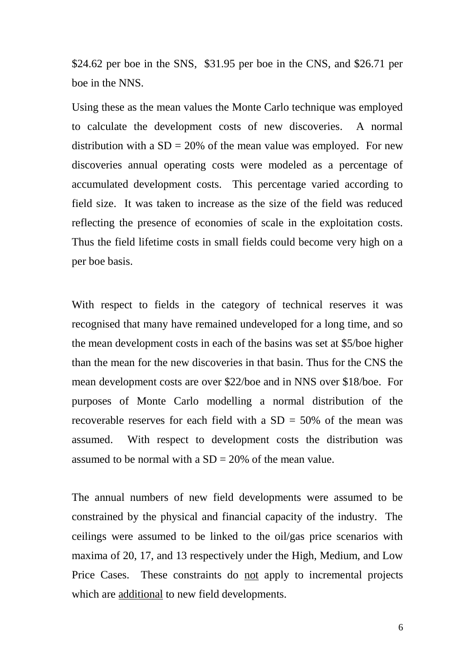\$24.62 per boe in the SNS, \$31.95 per boe in the CNS, and \$26.71 per boe in the NNS.

Using these as the mean values the Monte Carlo technique was employed to calculate the development costs of new discoveries. A normal distribution with a  $SD = 20\%$  of the mean value was employed. For new discoveries annual operating costs were modeled as a percentage of accumulated development costs. This percentage varied according to field size. It was taken to increase as the size of the field was reduced reflecting the presence of economies of scale in the exploitation costs. Thus the field lifetime costs in small fields could become very high on a per boe basis.

With respect to fields in the category of technical reserves it was recognised that many have remained undeveloped for a long time, and so the mean development costs in each of the basins was set at \$5/boe higher than the mean for the new discoveries in that basin. Thus for the CNS the mean development costs are over \$22/boe and in NNS over \$18/boe. For purposes of Monte Carlo modelling a normal distribution of the recoverable reserves for each field with a  $SD = 50\%$  of the mean was assumed. With respect to development costs the distribution was assumed to be normal with a  $SD = 20\%$  of the mean value.

The annual numbers of new field developments were assumed to be constrained by the physical and financial capacity of the industry. The ceilings were assumed to be linked to the oil/gas price scenarios with maxima of 20, 17, and 13 respectively under the High, Medium, and Low Price Cases. These constraints do not apply to incremental projects which are additional to new field developments.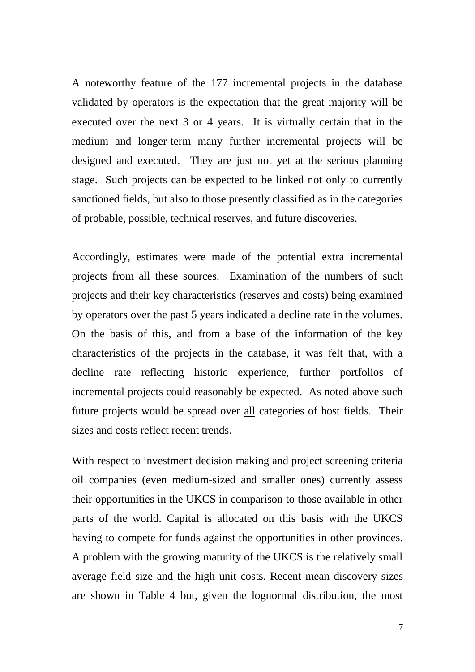A noteworthy feature of the 177 incremental projects in the database validated by operators is the expectation that the great majority will be executed over the next 3 or 4 years. It is virtually certain that in the medium and longer-term many further incremental projects will be designed and executed. They are just not yet at the serious planning stage. Such projects can be expected to be linked not only to currently sanctioned fields, but also to those presently classified as in the categories of probable, possible, technical reserves, and future discoveries.

Accordingly, estimates were made of the potential extra incremental projects from all these sources. Examination of the numbers of such projects and their key characteristics (reserves and costs) being examined by operators over the past 5 years indicated a decline rate in the volumes. On the basis of this, and from a base of the information of the key characteristics of the projects in the database, it was felt that, with a decline rate reflecting historic experience, further portfolios of incremental projects could reasonably be expected. As noted above such future projects would be spread over all categories of host fields. Their sizes and costs reflect recent trends.

With respect to investment decision making and project screening criteria oil companies (even medium-sized and smaller ones) currently assess their opportunities in the UKCS in comparison to those available in other parts of the world. Capital is allocated on this basis with the UKCS having to compete for funds against the opportunities in other provinces. A problem with the growing maturity of the UKCS is the relatively small average field size and the high unit costs. Recent mean discovery sizes are shown in Table 4 but, given the lognormal distribution, the most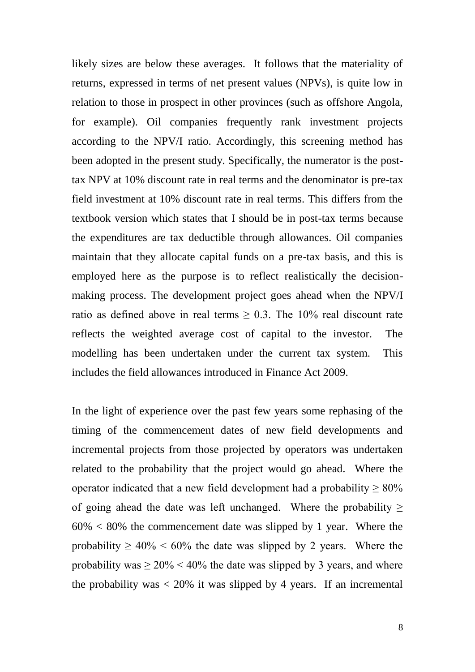likely sizes are below these averages. It follows that the materiality of returns, expressed in terms of net present values (NPVs), is quite low in relation to those in prospect in other provinces (such as offshore Angola, for example). Oil companies frequently rank investment projects according to the NPV/I ratio. Accordingly, this screening method has been adopted in the present study. Specifically, the numerator is the posttax NPV at 10% discount rate in real terms and the denominator is pre-tax field investment at 10% discount rate in real terms. This differs from the textbook version which states that I should be in post-tax terms because the expenditures are tax deductible through allowances. Oil companies maintain that they allocate capital funds on a pre-tax basis, and this is employed here as the purpose is to reflect realistically the decisionmaking process. The development project goes ahead when the NPV/I ratio as defined above in real terms  $\geq 0.3$ . The 10% real discount rate reflects the weighted average cost of capital to the investor. The modelling has been undertaken under the current tax system. This includes the field allowances introduced in Finance Act 2009.

In the light of experience over the past few years some rephasing of the timing of the commencement dates of new field developments and incremental projects from those projected by operators was undertaken related to the probability that the project would go ahead. Where the operator indicated that a new field development had a probability  $\geq 80\%$ of going ahead the date was left unchanged. Where the probability  $\geq$  $60\% < 80\%$  the commencement date was slipped by 1 year. Where the probability  $\geq 40\% \leq 60\%$  the date was slipped by 2 years. Where the probability was  $\geq 20\%$  < 40% the date was slipped by 3 years, and where the probability was  $\langle 20\%$  it was slipped by 4 years. If an incremental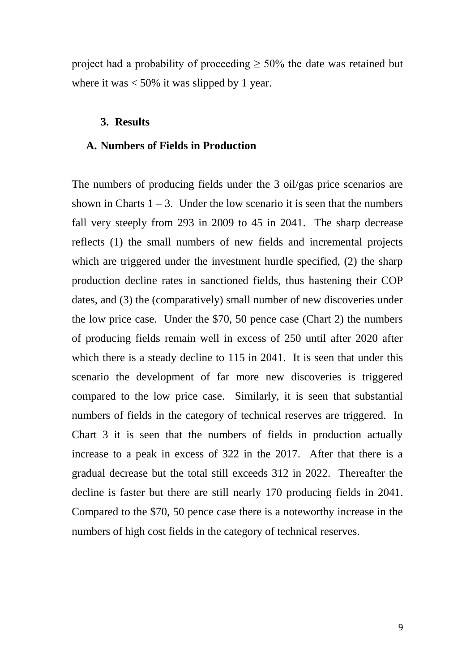project had a probability of proceeding  $\geq$  50% the date was retained but where it was  $< 50\%$  it was slipped by 1 year.

#### **3. Results**

#### **A. Numbers of Fields in Production**

The numbers of producing fields under the 3 oil/gas price scenarios are shown in Charts  $1 - 3$ . Under the low scenario it is seen that the numbers fall very steeply from 293 in 2009 to 45 in 2041. The sharp decrease reflects (1) the small numbers of new fields and incremental projects which are triggered under the investment hurdle specified, (2) the sharp production decline rates in sanctioned fields, thus hastening their COP dates, and (3) the (comparatively) small number of new discoveries under the low price case. Under the \$70, 50 pence case (Chart 2) the numbers of producing fields remain well in excess of 250 until after 2020 after which there is a steady decline to 115 in 2041. It is seen that under this scenario the development of far more new discoveries is triggered compared to the low price case. Similarly, it is seen that substantial numbers of fields in the category of technical reserves are triggered. In Chart 3 it is seen that the numbers of fields in production actually increase to a peak in excess of 322 in the 2017. After that there is a gradual decrease but the total still exceeds 312 in 2022. Thereafter the decline is faster but there are still nearly 170 producing fields in 2041. Compared to the \$70, 50 pence case there is a noteworthy increase in the numbers of high cost fields in the category of technical reserves.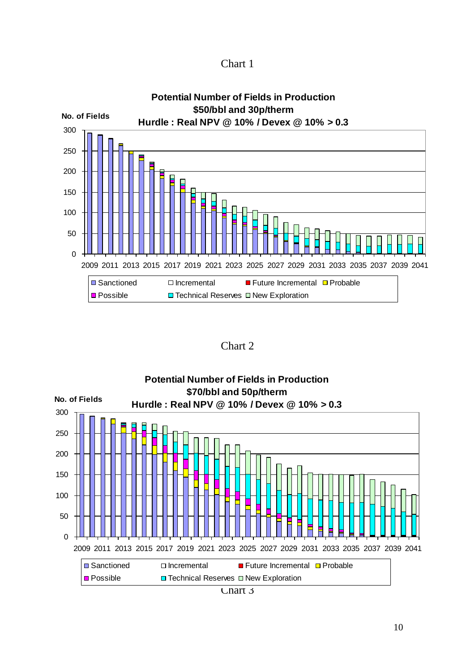



Chart 2



Chart 3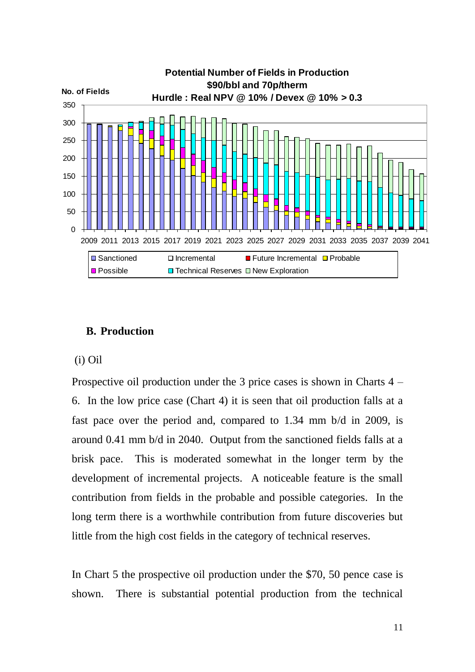

### **B. Production**

#### (i) Oil

Prospective oil production under the 3 price cases is shown in Charts 4 – 6. In the low price case (Chart 4) it is seen that oil production falls at a fast pace over the period and, compared to 1.34 mm b/d in 2009, is around 0.41 mm b/d in 2040. Output from the sanctioned fields falls at a brisk pace. This is moderated somewhat in the longer term by the development of incremental projects. A noticeable feature is the small contribution from fields in the probable and possible categories. In the long term there is a worthwhile contribution from future discoveries but little from the high cost fields in the category of technical reserves.

In Chart 5 the prospective oil production under the \$70, 50 pence case is shown. There is substantial potential production from the technical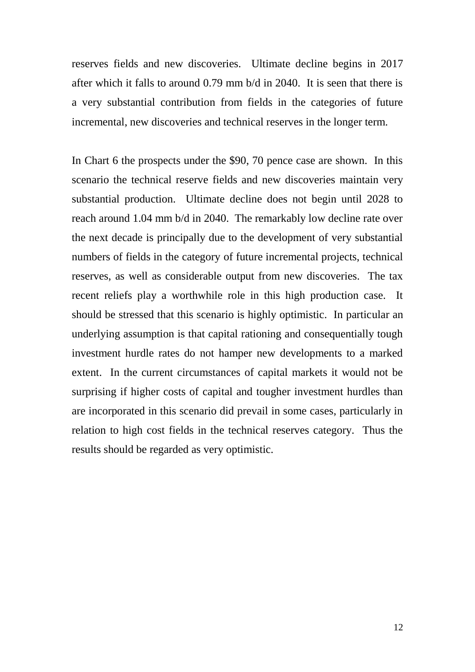reserves fields and new discoveries. Ultimate decline begins in 2017 after which it falls to around 0.79 mm b/d in 2040. It is seen that there is a very substantial contribution from fields in the categories of future incremental, new discoveries and technical reserves in the longer term.

In Chart 6 the prospects under the \$90, 70 pence case are shown. In this scenario the technical reserve fields and new discoveries maintain very substantial production. Ultimate decline does not begin until 2028 to reach around 1.04 mm b/d in 2040. The remarkably low decline rate over the next decade is principally due to the development of very substantial numbers of fields in the category of future incremental projects, technical reserves, as well as considerable output from new discoveries. The tax recent reliefs play a worthwhile role in this high production case. It should be stressed that this scenario is highly optimistic. In particular an underlying assumption is that capital rationing and consequentially tough investment hurdle rates do not hamper new developments to a marked extent. In the current circumstances of capital markets it would not be surprising if higher costs of capital and tougher investment hurdles than are incorporated in this scenario did prevail in some cases, particularly in relation to high cost fields in the technical reserves category. Thus the results should be regarded as very optimistic.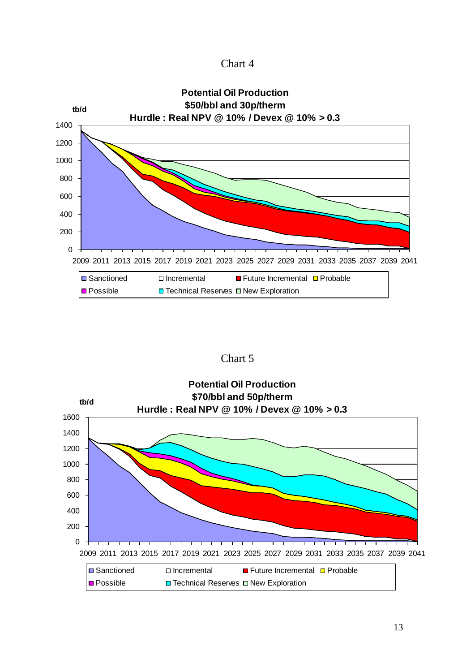| Chart 4 |  |
|---------|--|
|---------|--|



Chart 5

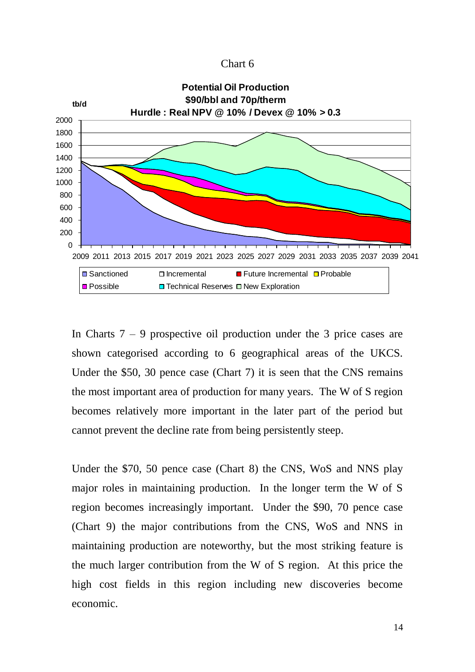| Chart 6 |  |
|---------|--|
|---------|--|



In Charts  $7 - 9$  prospective oil production under the 3 price cases are shown categorised according to 6 geographical areas of the UKCS. Under the \$50, 30 pence case (Chart 7) it is seen that the CNS remains the most important area of production for many years. The W of S region becomes relatively more important in the later part of the period but cannot prevent the decline rate from being persistently steep.

Under the \$70, 50 pence case (Chart 8) the CNS, WoS and NNS play major roles in maintaining production. In the longer term the W of S region becomes increasingly important. Under the \$90, 70 pence case (Chart 9) the major contributions from the CNS, WoS and NNS in maintaining production are noteworthy, but the most striking feature is the much larger contribution from the W of S region. At this price the high cost fields in this region including new discoveries become economic.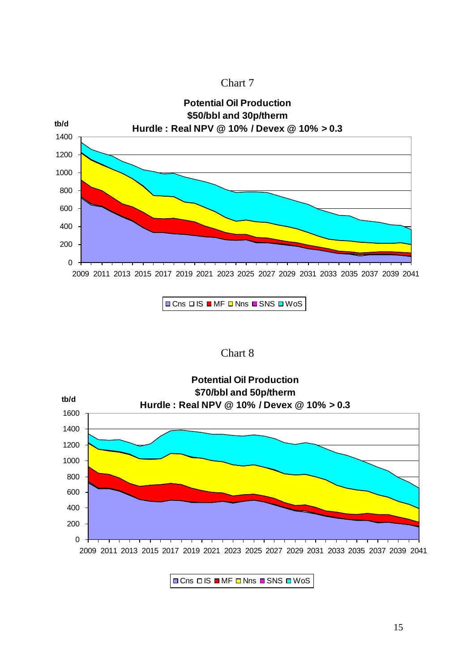



 $\Box$  Cns  $\Box$  IS  $\Box$  MF  $\Box$  Nns  $\Box$  SNS  $\Box$  WoS

#### Chart 8



 $\Box$  Cns  $\Box$  IS  $\Box$  MF  $\Box$  Nns  $\Box$  SNS  $\Box$  WoS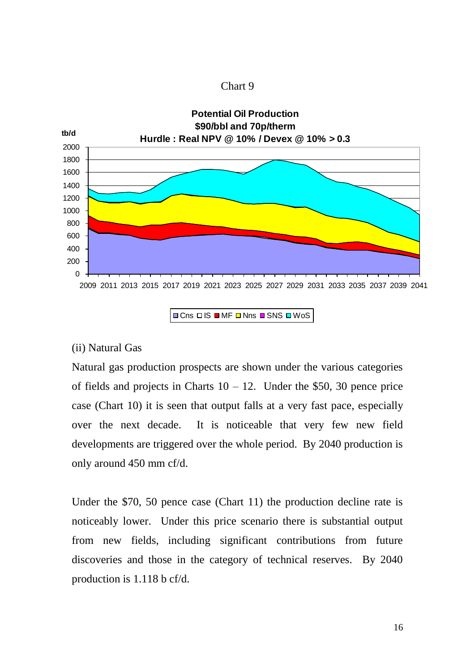



 $\Box$  Cns  $\Box$  IS  $\Box$  MF  $\Box$  Nns  $\Box$  SNS  $\Box$  WoS

#### (ii) Natural Gas

Natural gas production prospects are shown under the various categories of fields and projects in Charts  $10 - 12$ . Under the \$50, 30 pence price case (Chart 10) it is seen that output falls at a very fast pace, especially over the next decade. It is noticeable that very few new field developments are triggered over the whole period. By 2040 production is only around 450 mm cf/d.

Under the \$70, 50 pence case (Chart 11) the production decline rate is noticeably lower. Under this price scenario there is substantial output from new fields, including significant contributions from future discoveries and those in the category of technical reserves. By 2040 production is 1.118 b cf/d.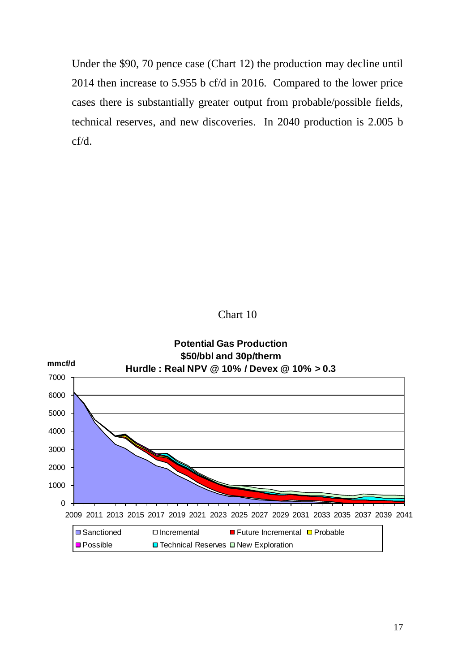Under the \$90, 70 pence case (Chart 12) the production may decline until 2014 then increase to 5.955 b cf/d in 2016. Compared to the lower price cases there is substantially greater output from probable/possible fields, technical reserves, and new discoveries. In 2040 production is 2.005 b cf/d.

Chart 10

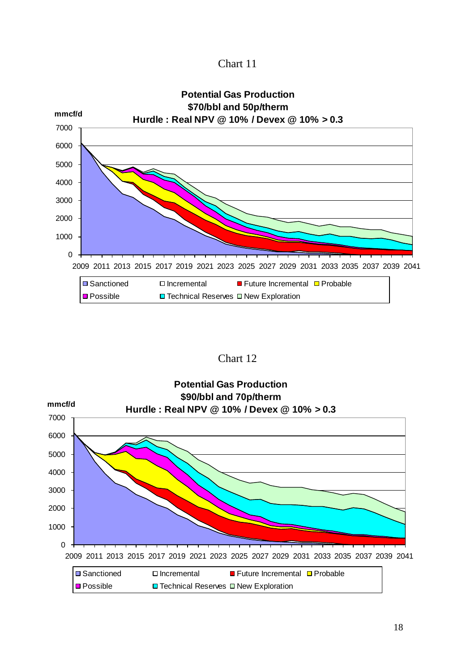Chart 11



Chart 12

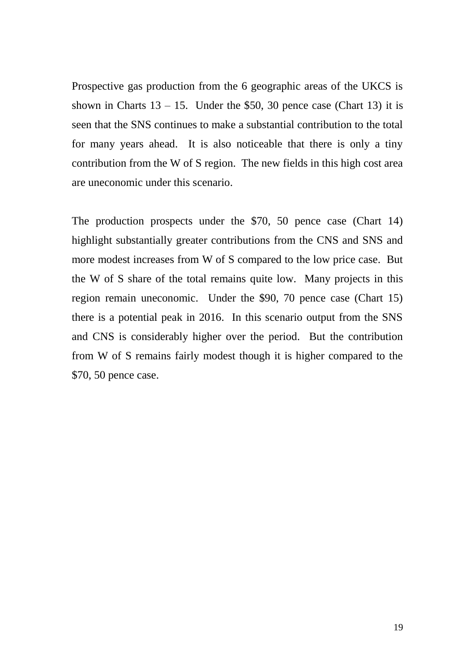Prospective gas production from the 6 geographic areas of the UKCS is shown in Charts  $13 - 15$ . Under the \$50, 30 pence case (Chart 13) it is seen that the SNS continues to make a substantial contribution to the total for many years ahead. It is also noticeable that there is only a tiny contribution from the W of S region. The new fields in this high cost area are uneconomic under this scenario.

The production prospects under the \$70, 50 pence case (Chart 14) highlight substantially greater contributions from the CNS and SNS and more modest increases from W of S compared to the low price case. But the W of S share of the total remains quite low. Many projects in this region remain uneconomic. Under the \$90, 70 pence case (Chart 15) there is a potential peak in 2016. In this scenario output from the SNS and CNS is considerably higher over the period. But the contribution from W of S remains fairly modest though it is higher compared to the \$70, 50 pence case.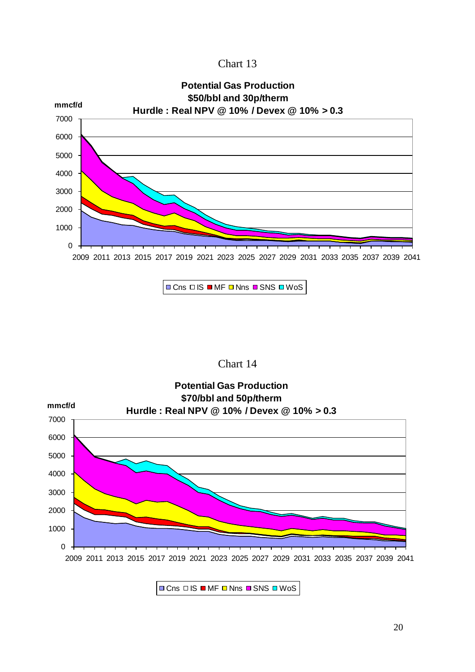Chart 13



 $\Box$  Cns  $\Box$  IS  $\Box$  MF  $\Box$  Nns  $\Box$  SNS  $\Box$  WoS





 $\Box$  Cns  $\Box$  IS  $\Box$  MF  $\Box$  Nns  $\Box$  SNS  $\Box$  WoS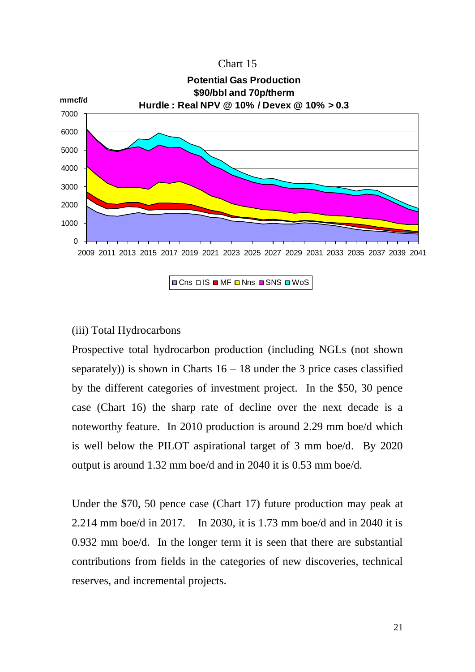| Chart 15 |  |
|----------|--|
|----------|--|



#### (iii) Total Hydrocarbons

Prospective total hydrocarbon production (including NGLs (not shown separately)) is shown in Charts  $16 - 18$  under the 3 price cases classified by the different categories of investment project. In the \$50, 30 pence case (Chart 16) the sharp rate of decline over the next decade is a noteworthy feature. In 2010 production is around 2.29 mm boe/d which is well below the PILOT aspirational target of 3 mm boe/d. By 2020 output is around 1.32 mm boe/d and in 2040 it is 0.53 mm boe/d.

Under the \$70, 50 pence case (Chart 17) future production may peak at 2.214 mm boe/d in 2017. In 2030, it is 1.73 mm boe/d and in 2040 it is 0.932 mm boe/d. In the longer term it is seen that there are substantial contributions from fields in the categories of new discoveries, technical reserves, and incremental projects.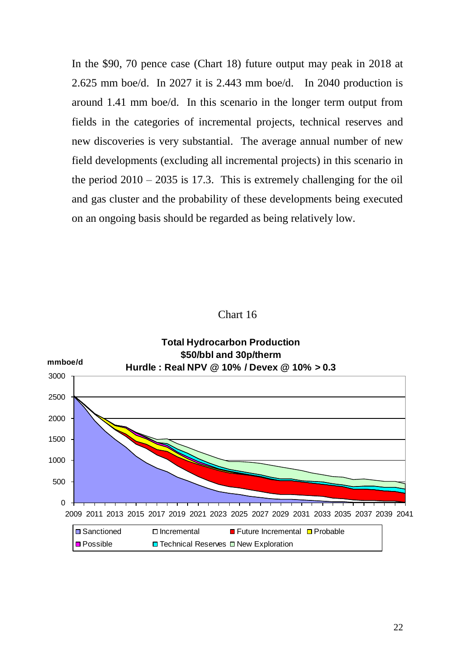In the \$90, 70 pence case (Chart 18) future output may peak in 2018 at 2.625 mm boe/d. In 2027 it is 2.443 mm boe/d. In 2040 production is around 1.41 mm boe/d. In this scenario in the longer term output from fields in the categories of incremental projects, technical reserves and new discoveries is very substantial. The average annual number of new field developments (excluding all incremental projects) in this scenario in the period  $2010 - 2035$  is 17.3. This is extremely challenging for the oil and gas cluster and the probability of these developments being executed on an ongoing basis should be regarded as being relatively low.

#### Chart 16

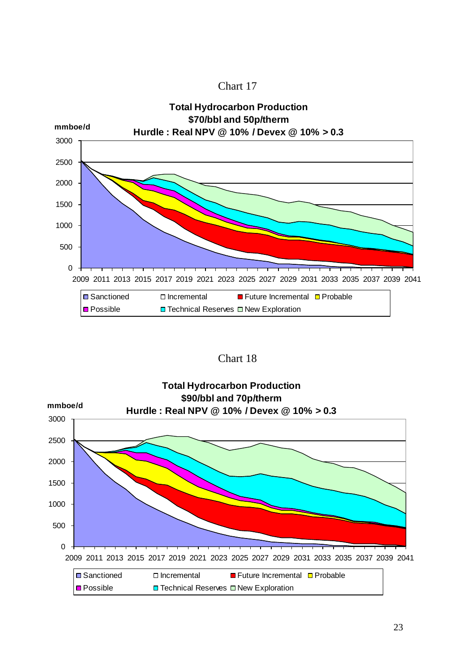



Chart 18

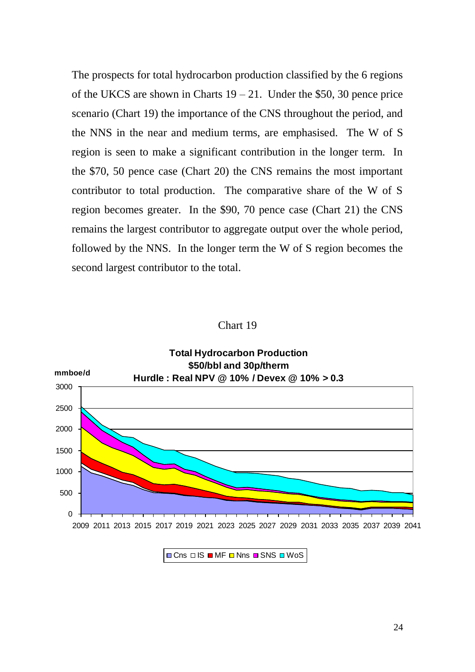The prospects for total hydrocarbon production classified by the 6 regions of the UKCS are shown in Charts  $19 - 21$ . Under the \$50, 30 pence price scenario (Chart 19) the importance of the CNS throughout the period, and the NNS in the near and medium terms, are emphasised. The W of S region is seen to make a significant contribution in the longer term. In the \$70, 50 pence case (Chart 20) the CNS remains the most important contributor to total production. The comparative share of the W of S region becomes greater. In the \$90, 70 pence case (Chart 21) the CNS remains the largest contributor to aggregate output over the whole period, followed by the NNS. In the longer term the W of S region becomes the second largest contributor to the total.

#### Chart 19



 $\Box$  Cns  $\Box$  IS  $\Box$  MF  $\Box$  Nns  $\Box$  SNS  $\Box$  WoS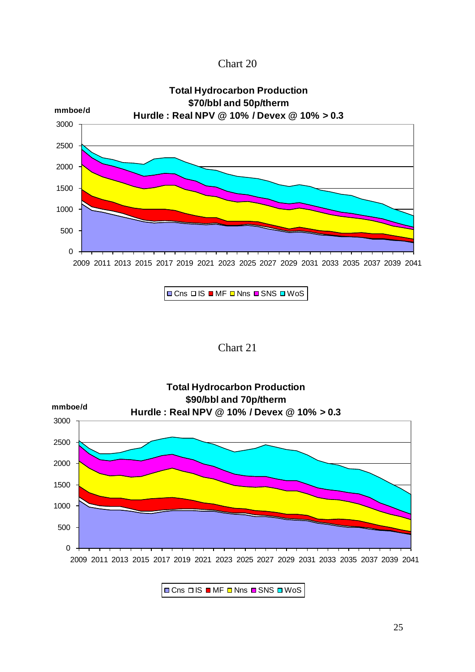Chart 20



 $\Box$  Cns  $\Box$  IS  $\Box$  MF  $\Box$  Nns  $\Box$  SNS  $\Box$  WoS

Chart 21



OCns OIS OMF ONns OSNS OWOS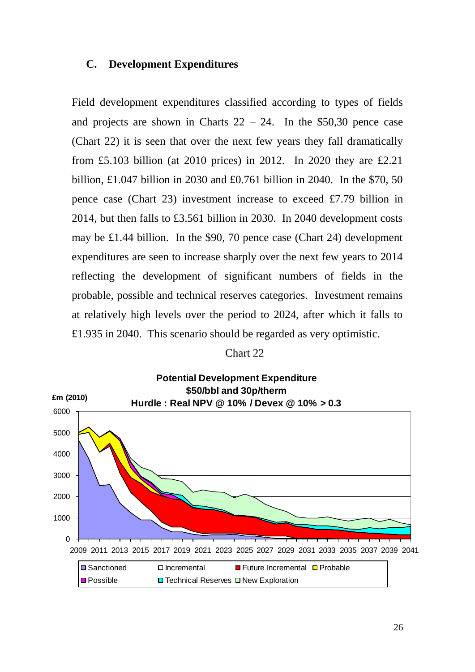#### **C. Development Expenditures**

Field development expenditures classified according to types of fields and projects are shown in Charts  $22 - 24$ . In the \$50,30 pence case (Chart 22) it is seen that over the next few years they fall dramatically from £5.103 billion (at 2010 prices) in 2012. In 2020 they are £2.21 billion, £1.047 billion in 2030 and £0.761 billion in 2040. In the \$70, 50 pence case (Chart 23) investment increase to exceed £7.79 billion in 2014, but then falls to £3.561 billion in 2030. In 2040 development costs may be £1.44 billion. In the \$90, 70 pence case (Chart 24) development expenditures are seen to increase sharply over the next few years to 2014 reflecting the development of significant numbers of fields in the probable, possible and technical reserves categories. Investment remains at relatively high levels over the period to 2024, after which it falls to £1.935 in 2040. This scenario should be regarded as very optimistic.

#### Chart 22

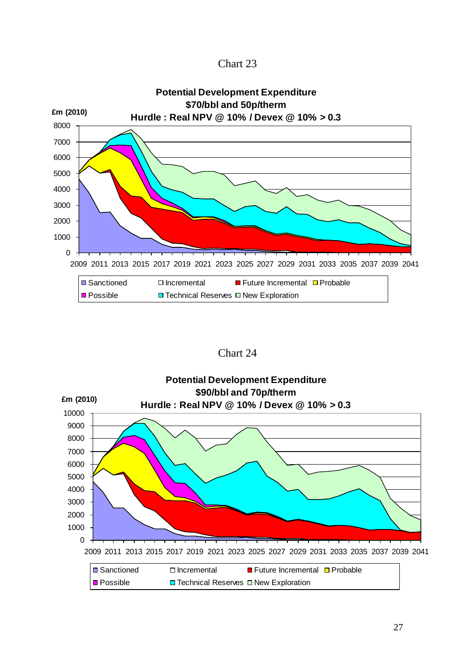Chart 23



Chart 24

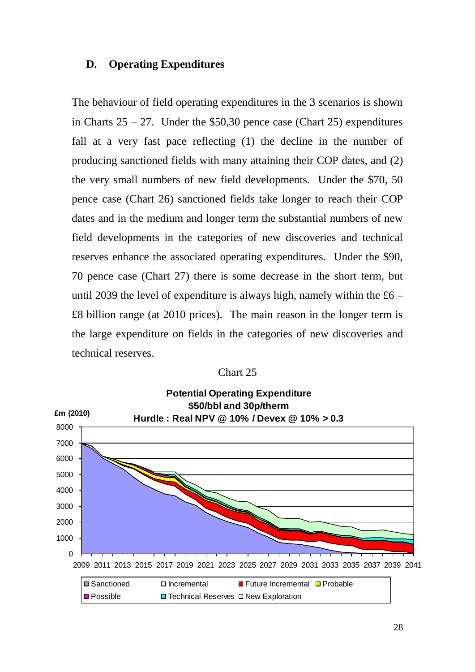#### **D. Operating Expenditures**

The behaviour of field operating expenditures in the 3 scenarios is shown in Charts  $25 - 27$ . Under the \$50,30 pence case (Chart 25) expenditures fall at a very fast pace reflecting (1) the decline in the number of producing sanctioned fields with many attaining their COP dates, and (2) the very small numbers of new field developments. Under the \$70, 50 pence case (Chart 26) sanctioned fields take longer to reach their COP dates and in the medium and longer term the substantial numbers of new field developments in the categories of new discoveries and technical reserves enhance the associated operating expenditures. Under the \$90, 70 pence case (Chart 27) there is some decrease in the short term, but until 2039 the level of expenditure is always high, namely within the  $£6 -$ £8 billion range (at 2010 prices). The main reason in the longer term is the large expenditure on fields in the categories of new discoveries and technical reserves.

| Chart 25 |  |
|----------|--|
|----------|--|

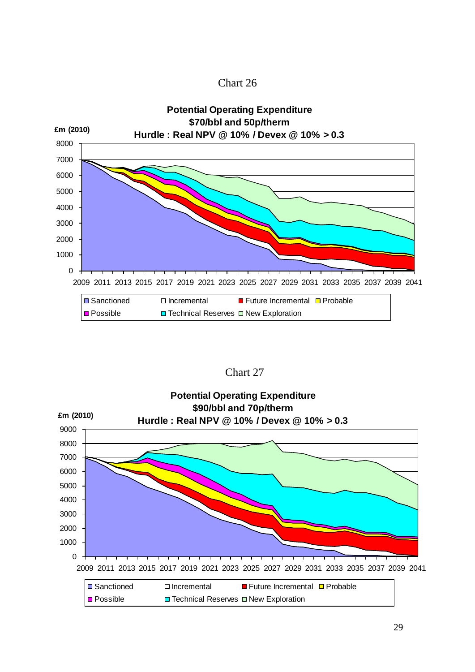



Chart 27

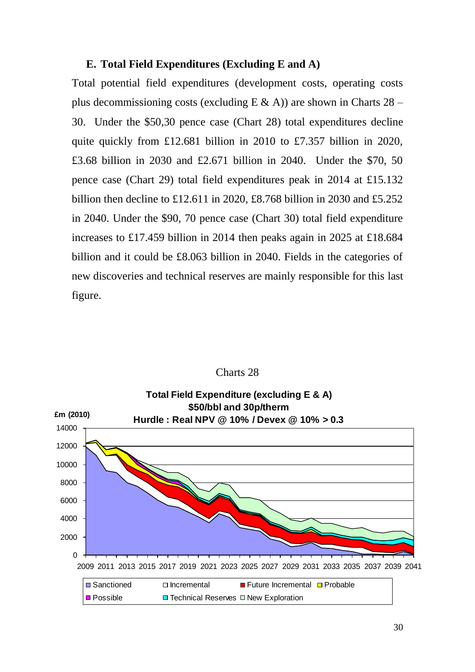#### **E. Total Field Expenditures (Excluding E and A)**

Total potential field expenditures (development costs, operating costs plus decommissioning costs (excluding  $E \& A$ )) are shown in Charts 28 – 30. Under the \$50,30 pence case (Chart 28) total expenditures decline quite quickly from £12.681 billion in 2010 to £7.357 billion in 2020, £3.68 billion in 2030 and £2.671 billion in 2040. Under the \$70, 50 pence case (Chart 29) total field expenditures peak in 2014 at £15.132 billion then decline to £12.611 in 2020, £8.768 billion in 2030 and £5.252 in 2040. Under the \$90, 70 pence case (Chart 30) total field expenditure increases to £17.459 billion in 2014 then peaks again in 2025 at £18.684 billion and it could be £8.063 billion in 2040. Fields in the categories of new discoveries and technical reserves are mainly responsible for this last figure.



#### Charts 28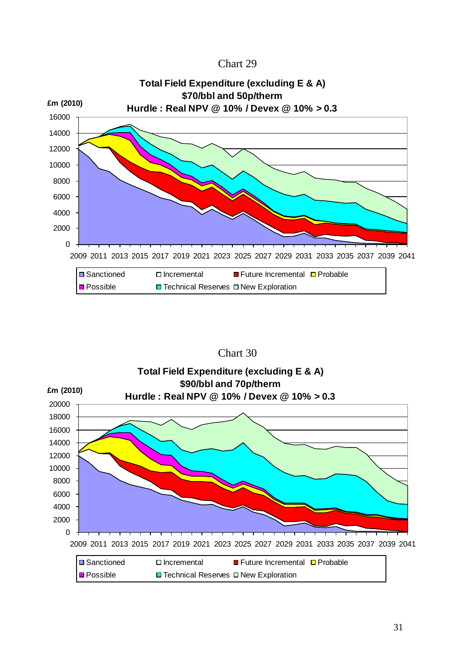





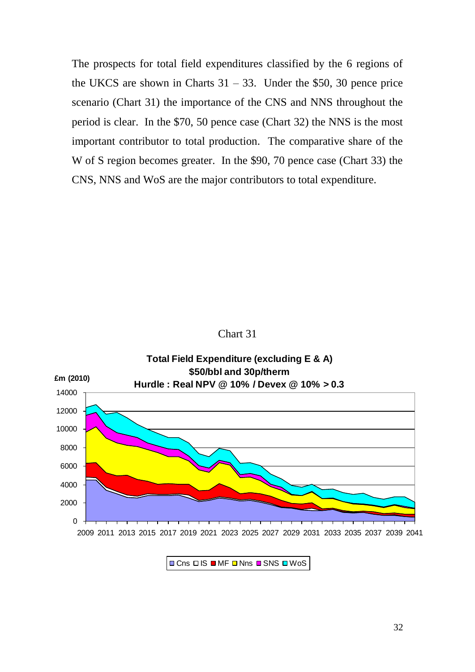The prospects for total field expenditures classified by the 6 regions of the UKCS are shown in Charts  $31 - 33$ . Under the \$50, 30 pence price scenario (Chart 31) the importance of the CNS and NNS throughout the period is clear. In the \$70, 50 pence case (Chart 32) the NNS is the most important contributor to total production. The comparative share of the W of S region becomes greater. In the \$90, 70 pence case (Chart 33) the CNS, NNS and WoS are the major contributors to total expenditure.





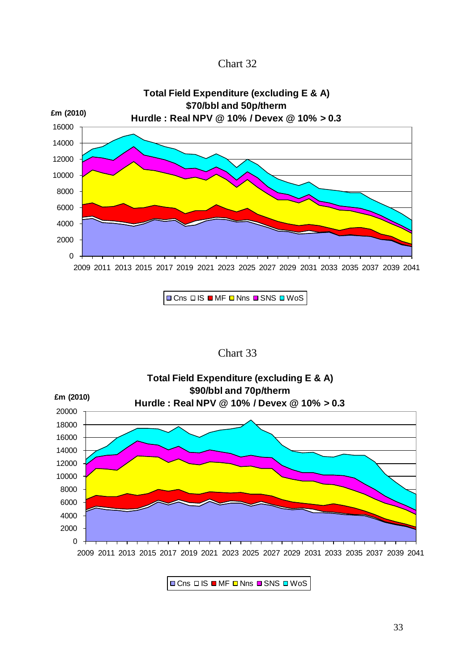



 $\Box$  Cns  $\Box$  IS  $\Box$  MF  $\Box$  Nns  $\Box$  SNS  $\Box$  WoS





 $\Box$  Cns  $\Box$  IS  $\Box$  MF  $\Box$  Nns  $\Box$  SNS  $\Box$  WoS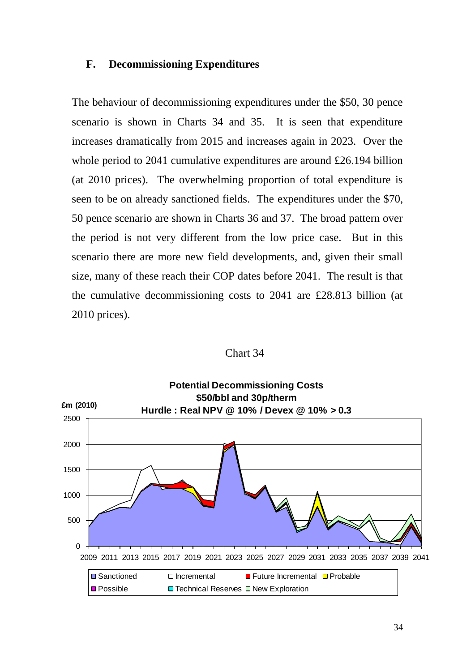#### **F. Decommissioning Expenditures**

The behaviour of decommissioning expenditures under the \$50, 30 pence scenario is shown in Charts 34 and 35. It is seen that expenditure increases dramatically from 2015 and increases again in 2023. Over the whole period to 2041 cumulative expenditures are around £26.194 billion (at 2010 prices). The overwhelming proportion of total expenditure is seen to be on already sanctioned fields. The expenditures under the \$70, 50 pence scenario are shown in Charts 36 and 37. The broad pattern over the period is not very different from the low price case. But in this scenario there are more new field developments, and, given their small size, many of these reach their COP dates before 2041. The result is that the cumulative decommissioning costs to 2041 are £28.813 billion (at 2010 prices).

Chart 34

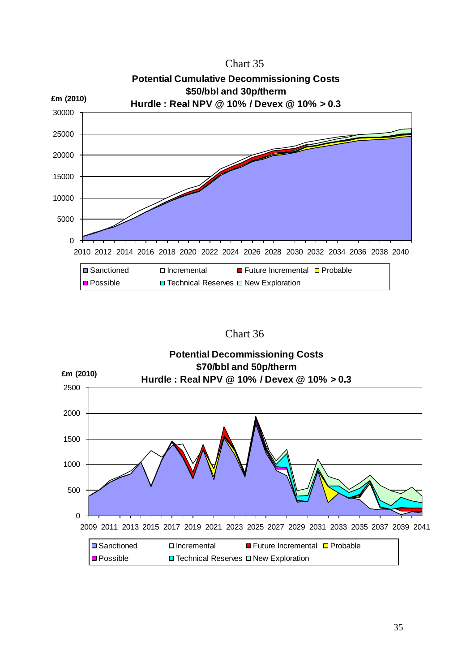

Chart 36

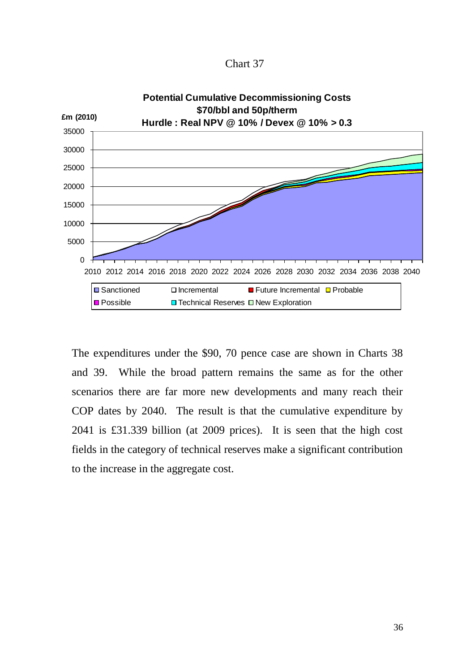Chart 37



The expenditures under the \$90, 70 pence case are shown in Charts 38 and 39. While the broad pattern remains the same as for the other scenarios there are far more new developments and many reach their COP dates by 2040. The result is that the cumulative expenditure by 2041 is £31.339 billion (at 2009 prices). It is seen that the high cost fields in the category of technical reserves make a significant contribution to the increase in the aggregate cost.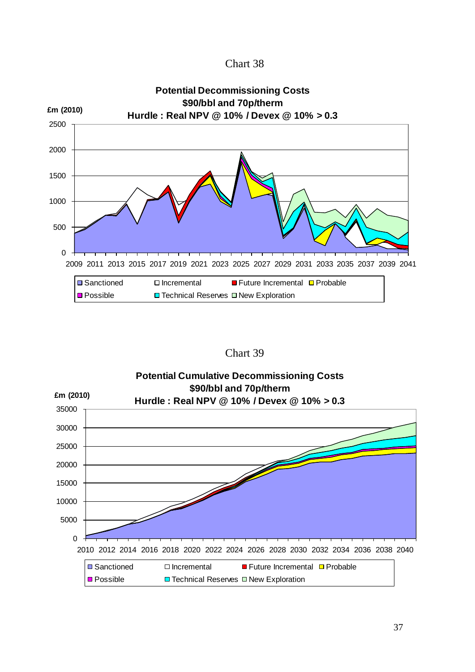



Chart 39

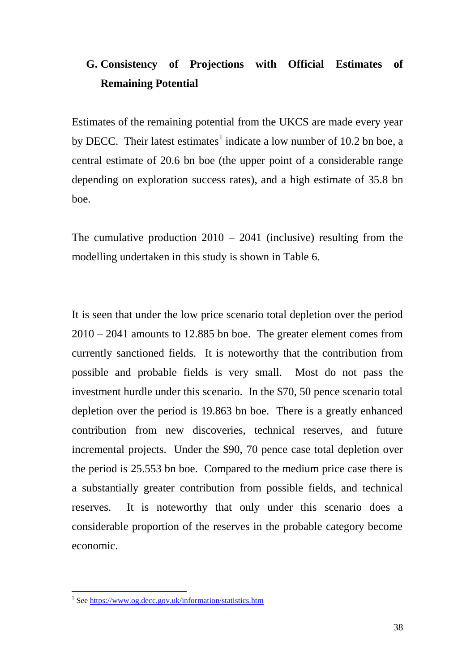### **G. Consistency of Projections with Official Estimates of Remaining Potential**

Estimates of the remaining potential from the UKCS are made every year by DECC. Their latest estimates<sup>1</sup> indicate a low number of 10.2 bn boe, a central estimate of 20.6 bn boe (the upper point of a considerable range depending on exploration success rates), and a high estimate of 35.8 bn boe.

The cumulative production  $2010 - 2041$  (inclusive) resulting from the modelling undertaken in this study is shown in Table 6.

It is seen that under the low price scenario total depletion over the period 2010 – 2041 amounts to 12.885 bn boe. The greater element comes from currently sanctioned fields. It is noteworthy that the contribution from possible and probable fields is very small. Most do not pass the investment hurdle under this scenario. In the \$70, 50 pence scenario total depletion over the period is 19.863 bn boe. There is a greatly enhanced contribution from new discoveries, technical reserves, and future incremental projects. Under the \$90, 70 pence case total depletion over the period is 25.553 bn boe. Compared to the medium price case there is a substantially greater contribution from possible fields, and technical reserves. It is noteworthy that only under this scenario does a considerable proportion of the reserves in the probable category become economic.

<u>.</u>

<sup>&</sup>lt;sup>1</sup> See https://www.og.decc.gov.uk/information/statistics.htm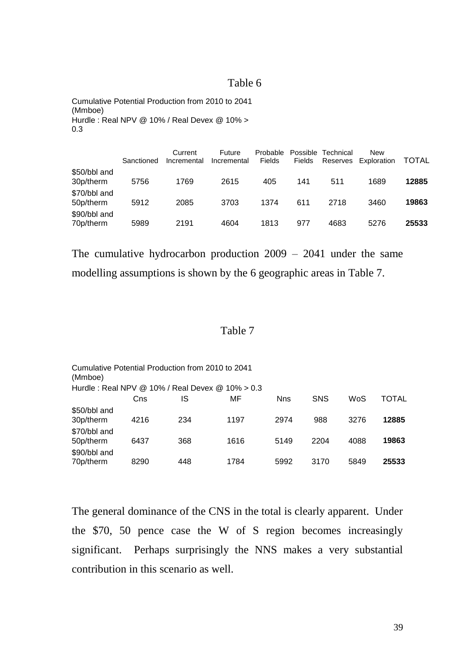#### Table 6

Cumulative Potential Production from 2010 to 2041 (Mmboe) Hurdle : Real NPV @ 10% / Real Devex @ 10% > 0.3

|                           | Sanctioned | Current<br>Incremental | Future<br>Incremental | Probable<br><b>Fields</b> | <b>Fields</b> | Possible Technical<br>Reserves | New<br>Exploration | TOTAL |
|---------------------------|------------|------------------------|-----------------------|---------------------------|---------------|--------------------------------|--------------------|-------|
| \$50/bbl and<br>30p/therm | 5756       | 1769                   | 2615                  | 405                       | 141           | 511                            | 1689               | 12885 |
| \$70/bbl and<br>50p/therm | 5912       | 2085                   | 3703                  | 1374                      | 611           | 2718                           | 3460               | 19863 |
| \$90/bbl and<br>70p/therm | 5989       | 2191                   | 4604                  | 1813                      | 977           | 4683                           | 5276               | 25533 |

The cumulative hydrocarbon production 2009 – 2041 under the same modelling assumptions is shown by the 6 geographic areas in Table 7.

#### Table 7

| Cumulative Potential Production from 2010 to 2041<br>(Mmboe) |      |     |      |            |      |      |       |
|--------------------------------------------------------------|------|-----|------|------------|------|------|-------|
| Hurdle: Real NPV @ 10% / Real Devex @ 10% $> 0.3$            |      |     |      |            |      |      |       |
|                                                              | Cns  | IS  | МF   | <b>Nns</b> | SNS  | WoS  | TOTAL |
| \$50/bbl and<br>30p/therm                                    | 4216 | 234 | 1197 | 2974       | 988  | 3276 | 12885 |
| \$70/bbl and<br>50p/therm                                    | 6437 | 368 | 1616 | 5149       | 2204 | 4088 | 19863 |
| \$90/bbl and<br>70p/therm                                    | 8290 | 448 | 1784 | 5992       | 3170 | 5849 | 25533 |

The general dominance of the CNS in the total is clearly apparent. Under the \$70, 50 pence case the W of S region becomes increasingly significant. Perhaps surprisingly the NNS makes a very substantial contribution in this scenario as well.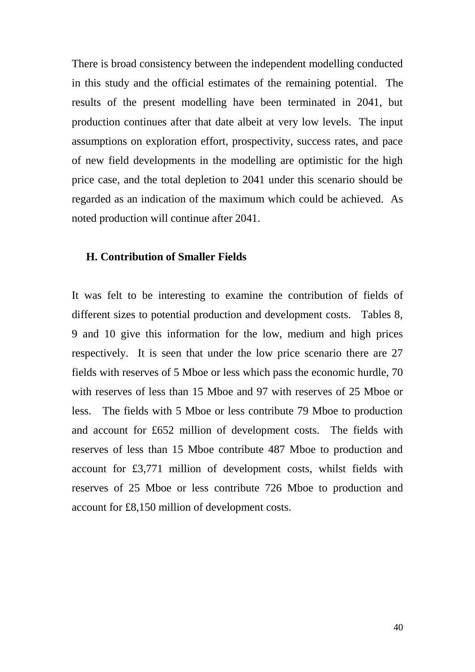There is broad consistency between the independent modelling conducted in this study and the official estimates of the remaining potential. The results of the present modelling have been terminated in 2041, but production continues after that date albeit at very low levels. The input assumptions on exploration effort, prospectivity, success rates, and pace of new field developments in the modelling are optimistic for the high price case, and the total depletion to 2041 under this scenario should be regarded as an indication of the maximum which could be achieved. As noted production will continue after 2041.

#### **H. Contribution of Smaller Fields**

It was felt to be interesting to examine the contribution of fields of different sizes to potential production and development costs. Tables 8, 9 and 10 give this information for the low, medium and high prices respectively. It is seen that under the low price scenario there are 27 fields with reserves of 5 Mboe or less which pass the economic hurdle, 70 with reserves of less than 15 Mboe and 97 with reserves of 25 Mboe or less. The fields with 5 Mboe or less contribute 79 Mboe to production and account for £652 million of development costs. The fields with reserves of less than 15 Mboe contribute 487 Mboe to production and account for £3,771 million of development costs, whilst fields with reserves of 25 Mboe or less contribute 726 Mboe to production and account for £8,150 million of development costs.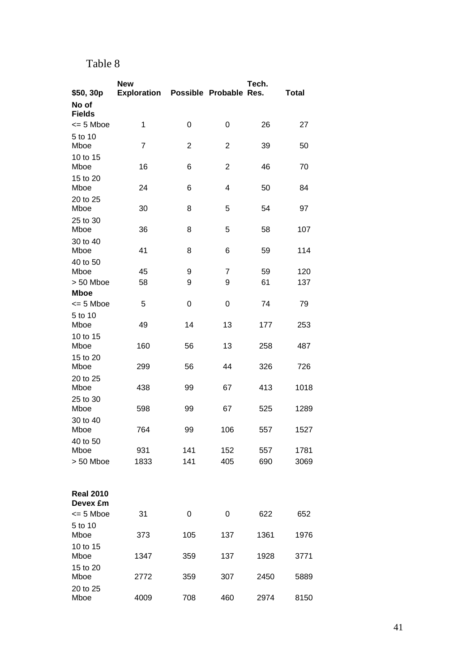### Table 8

|                              | <b>New</b>         |                        |                | Tech. |       |
|------------------------------|--------------------|------------------------|----------------|-------|-------|
| \$50, 30p                    | <b>Exploration</b> | Possible Probable Res. |                |       | Total |
| No of<br><b>Fields</b>       |                    |                        |                |       |       |
| $\leq$ 5 Mboe                | 1                  | 0                      | 0              | 26    | 27    |
| 5 to 10                      |                    |                        |                |       |       |
| Mboe                         | $\overline{7}$     | $\overline{c}$         | 2              | 39    | 50    |
| 10 to 15<br>Mboe             | 16                 | 6                      | $\overline{2}$ | 46    | 70    |
| 15 to 20<br>Mboe             | 24                 | 6                      | 4              | 50    | 84    |
| 20 to 25<br>Mboe             | 30                 | 8                      | 5              | 54    | 97    |
| 25 to 30<br>Mboe             | 36                 | 8                      | 5              | 58    | 107   |
| 30 to 40<br>Mboe             | 41                 | 8                      | 6              | 59    | 114   |
| 40 to 50                     |                    |                        |                |       |       |
| Mboe                         | 45                 | 9                      | 7              | 59    | 120   |
| > 50 Mboe                    | 58                 | 9                      | 9              | 61    | 137   |
| <b>Mboe</b>                  |                    |                        |                |       |       |
| $\leq$ 5 Mboe                | 5                  | 0                      | 0              | 74    | 79    |
| 5 to 10<br>Mboe              | 49                 | 14                     | 13             | 177   | 253   |
| 10 to 15<br>Mboe             | 160                | 56                     | 13             | 258   | 487   |
| 15 to 20<br>Mboe             | 299                | 56                     | 44             | 326   | 726   |
| 20 to 25<br>Mboe             | 438                | 99                     | 67             | 413   | 1018  |
| 25 to 30<br>Mboe             | 598                | 99                     | 67             | 525   | 1289  |
| 30 to 40<br>Mboe             | 764                | 99                     | 106            | 557   | 1527  |
| 40 to 50                     |                    |                        |                |       |       |
| Mboe                         | 931                | 141                    | 152            | 557   | 1781  |
| > 50 Mboe                    | 1833               | 141                    | 405            | 690   | 3069  |
| <b>Real 2010</b><br>Devex £m |                    |                        |                |       |       |
| $\leq$ 5 Mboe                | 31                 | 0                      | 0              | 622   | 652   |
| 5 to 10<br>Mboe              | 373                | 105                    | 137            | 1361  | 1976  |
| 10 to 15<br>Mboe             | 1347               | 359                    | 137            | 1928  | 3771  |
| 15 to 20<br>Mboe             | 2772               | 359                    | 307            | 2450  | 5889  |
| 20 to 25<br>Mboe             | 4009               | 708                    | 460            | 2974  | 8150  |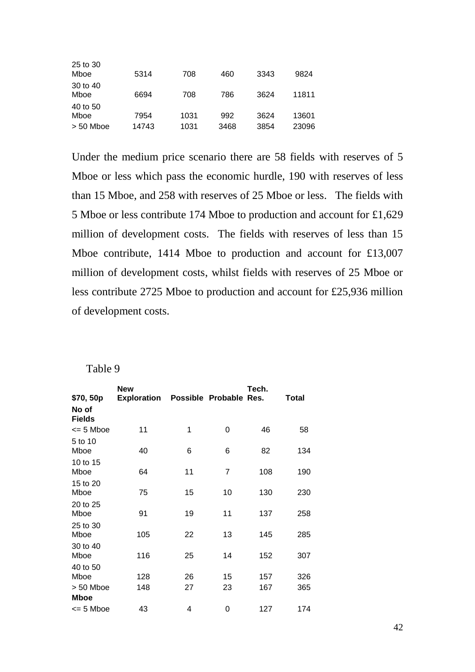| 25 to 30<br>Mboe                | 5314          | 708          | 460         | 3343         | 9824           |
|---------------------------------|---------------|--------------|-------------|--------------|----------------|
| 30 to 40<br>Mboe                | 6694          | 708          | 786         | 3624         | 11811          |
| 40 to 50<br>Mboe<br>$> 50$ Mboe | 7954<br>14743 | 1031<br>1031 | 992<br>3468 | 3624<br>3854 | 13601<br>23096 |

Under the medium price scenario there are 58 fields with reserves of 5 Mboe or less which pass the economic hurdle, 190 with reserves of less than 15 Mboe, and 258 with reserves of 25 Mboe or less. The fields with 5 Mboe or less contribute 174 Mboe to production and account for £1,629 million of development costs. The fields with reserves of less than 15 Mboe contribute, 1414 Mboe to production and account for £13,007 million of development costs, whilst fields with reserves of 25 Mboe or less contribute 2725 Mboe to production and account for £25,936 million of development costs.

| Table 9 |  |
|---------|--|
|---------|--|

| \$70, 50p<br>No of<br><b>Fields</b> | <b>New</b><br><b>Exploration</b> |    | Possible Probable Res. | Tech. | Total |
|-------------------------------------|----------------------------------|----|------------------------|-------|-------|
| $\leq$ 5 Mboe                       | 11                               | 1  | 0                      | 46    | 58    |
| 5 to 10<br>Mboe                     | 40                               | 6  | 6                      | 82    | 134   |
| 10 to 15<br>Mboe                    | 64                               | 11 | 7                      | 108   | 190   |
| 15 to 20<br>Mboe                    | 75                               | 15 | 10                     | 130   | 230   |
| 20 to 25<br>Mboe                    | 91                               | 19 | 11                     | 137   | 258   |
| 25 to 30<br>Mboe                    | 105                              | 22 | 13                     | 145   | 285   |
| 30 to 40<br>Mboe                    | 116                              | 25 | 14                     | 152   | 307   |
| 40 to 50<br>Mboe                    | 128                              | 26 | 15                     | 157   | 326   |
| $> 50$ Mboe<br><b>Mboe</b>          | 148                              | 27 | 23                     | 167   | 365   |
| $\leq$ 5 Mboe                       | 43                               | 4  | 0                      | 127   | 174   |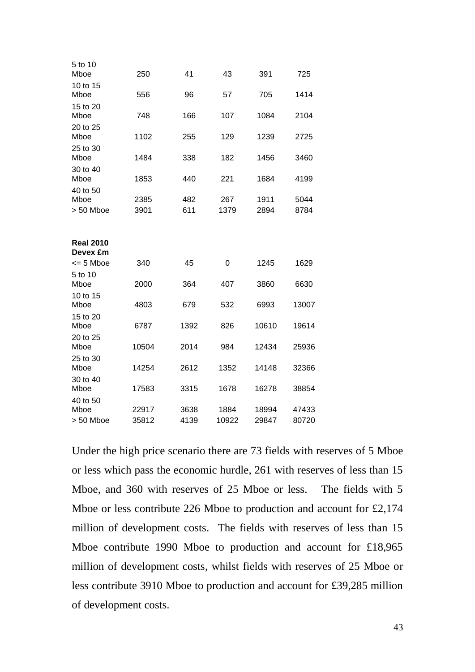| 5 to 10<br>Mboe                               | 250   | 41   | 43    | 391   | 725   |
|-----------------------------------------------|-------|------|-------|-------|-------|
| 10 to 15<br>Mboe                              | 556   | 96   | 57    | 705   | 1414  |
| 15 to 20<br>Mboe                              | 748   | 166  | 107   | 1084  | 2104  |
| 20 to 25<br>Mboe                              | 1102  | 255  | 129   | 1239  | 2725  |
| 25 to 30<br>Mboe                              | 1484  | 338  | 182   | 1456  | 3460  |
| 30 to 40<br>Mboe                              | 1853  | 440  | 221   | 1684  | 4199  |
| 40 to 50<br>Mboe                              | 2385  | 482  | 267   | 1911  | 5044  |
| > 50 Mboe                                     | 3901  | 611  | 1379  | 2894  | 8784  |
| <b>Real 2010</b><br>Devex £m<br>$\leq$ 5 Mboe | 340   | 45   | 0     | 1245  | 1629  |
| 5 to 10                                       |       |      |       |       |       |
| Mboe<br>10 to 15                              | 2000  | 364  | 407   | 3860  | 6630  |
| Mboe                                          | 4803  | 679  | 532   | 6993  | 13007 |
| 15 to 20<br>Mboe                              | 6787  | 1392 | 826   | 10610 | 19614 |
| 20 to 25<br>Mboe                              | 10504 | 2014 | 984   | 12434 | 25936 |
| 25 to 30<br>Mboe                              | 14254 | 2612 | 1352  | 14148 | 32366 |
| 30 to 40<br>Mboe                              | 17583 | 3315 | 1678  | 16278 | 38854 |
| 40 to 50<br>Mboe                              | 22917 | 3638 | 1884  | 18994 | 47433 |
| $> 50$ Mboe                                   | 35812 | 4139 | 10922 | 29847 | 80720 |

Under the high price scenario there are 73 fields with reserves of 5 Mboe or less which pass the economic hurdle, 261 with reserves of less than 15 Mboe, and 360 with reserves of 25 Mboe or less. The fields with 5 Mboe or less contribute 226 Mboe to production and account for £2,174 million of development costs. The fields with reserves of less than 15 Mboe contribute 1990 Mboe to production and account for £18,965 million of development costs, whilst fields with reserves of 25 Mboe or less contribute 3910 Mboe to production and account for £39,285 million of development costs.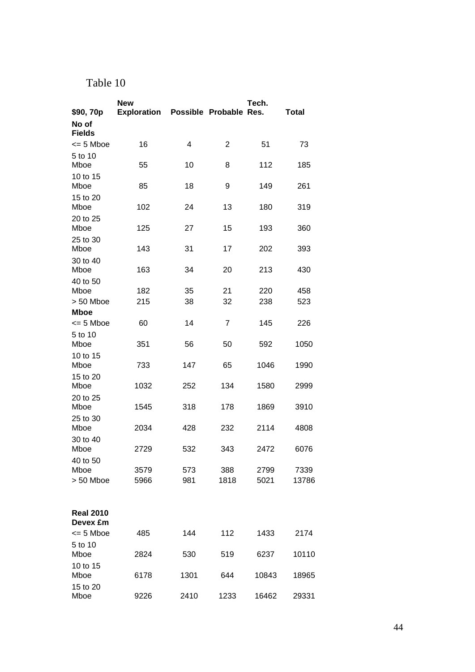### Table 10

|                              | Tech.<br><b>New</b>                |      |                |       |              |
|------------------------------|------------------------------------|------|----------------|-------|--------------|
| \$90, 70p                    | Exploration Possible Probable Res. |      |                |       | <b>Total</b> |
| No of<br><b>Fields</b>       |                                    |      |                |       |              |
| $\leq$ 5 Mboe                | 16                                 | 4    | $\overline{2}$ | 51    | 73           |
| 5 to 10                      |                                    |      |                |       |              |
| Mboe                         | 55                                 | 10   | 8              | 112   | 185          |
| 10 to 15                     |                                    |      |                |       |              |
| Mboe                         | 85                                 | 18   | 9              | 149   | 261          |
| 15 to 20                     | 102                                |      | 13             | 180   |              |
| Mboe                         |                                    | 24   |                |       | 319          |
| 20 to 25<br>Mboe             | 125                                | 27   | 15             | 193   | 360          |
| 25 to 30                     |                                    |      |                |       |              |
| Mboe                         | 143                                | 31   | 17             | 202   | 393          |
| 30 to 40                     |                                    |      |                |       |              |
| Mboe                         | 163                                | 34   | 20             | 213   | 430          |
| 40 to 50                     |                                    |      |                |       |              |
| Mboe                         | 182                                | 35   | 21             | 220   | 458          |
| > 50 Mboe                    | 215                                | 38   | 32             | 238   | 523          |
| <b>Mboe</b>                  |                                    |      |                |       |              |
| $\leq$ 5 Mboe                | 60                                 | 14   | $\overline{7}$ | 145   | 226          |
| 5 to 10                      |                                    |      |                |       |              |
| Mboe                         | 351                                | 56   | 50             | 592   | 1050         |
| 10 to 15<br>Mboe             | 733                                | 147  | 65             | 1046  | 1990         |
|                              |                                    |      |                |       |              |
| 15 to 20<br>Mboe             | 1032                               | 252  | 134            | 1580  | 2999         |
| 20 to 25                     |                                    |      |                |       |              |
| Mboe                         | 1545                               | 318  | 178            | 1869  | 3910         |
| 25 to 30                     |                                    |      |                |       |              |
| Mboe                         | 2034                               | 428  | 232            | 2114  | 4808         |
| 30 to 40                     |                                    |      |                |       |              |
| Mboe                         | 2729                               | 532  | 343            | 2472  | 6076         |
| 40 to 50                     |                                    |      |                |       |              |
| Mboe                         | 3579                               | 573  | 388            | 2799  | 7339         |
| $> 50$ Mboe                  | 5966                               | 981  | 1818           | 5021  | 13786        |
|                              |                                    |      |                |       |              |
|                              |                                    |      |                |       |              |
| <b>Real 2010</b><br>Devex £m |                                    |      |                |       |              |
| $\leq$ 5 Mboe                | 485                                | 144  | 112            | 1433  | 2174         |
| 5 to 10                      |                                    |      |                |       |              |
| Mboe                         | 2824                               | 530  | 519            | 6237  | 10110        |
| 10 to 15                     |                                    |      |                |       |              |
| Mboe                         | 6178                               | 1301 | 644            | 10843 | 18965        |
| 15 to 20                     |                                    |      |                |       |              |
| Mboe                         | 9226                               | 2410 | 1233           | 16462 | 29331        |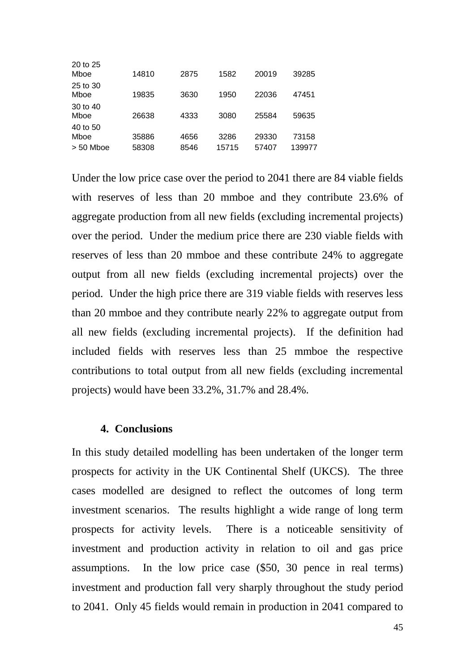| 20 to 25<br>Mboe                | 14810          | 2875         | 1582          | 20019          | 39285           |
|---------------------------------|----------------|--------------|---------------|----------------|-----------------|
| 25 to 30<br>Mboe                | 19835          | 3630         | 1950          | 22036          | 47451           |
| 30 to 40<br>Mboe                | 26638          | 4333         | 3080          | 25584          | 59635           |
| 40 to 50<br>Mboe<br>$> 50$ Mboe | 35886<br>58308 | 4656<br>8546 | 3286<br>15715 | 29330<br>57407 | 73158<br>139977 |

Under the low price case over the period to 2041 there are 84 viable fields with reserves of less than 20 mmboe and they contribute 23.6% of aggregate production from all new fields (excluding incremental projects) over the period. Under the medium price there are 230 viable fields with reserves of less than 20 mmboe and these contribute 24% to aggregate output from all new fields (excluding incremental projects) over the period. Under the high price there are 319 viable fields with reserves less than 20 mmboe and they contribute nearly 22% to aggregate output from all new fields (excluding incremental projects). If the definition had included fields with reserves less than 25 mmboe the respective contributions to total output from all new fields (excluding incremental projects) would have been 33.2%, 31.7% and 28.4%.

#### **4. Conclusions**

In this study detailed modelling has been undertaken of the longer term prospects for activity in the UK Continental Shelf (UKCS). The three cases modelled are designed to reflect the outcomes of long term investment scenarios. The results highlight a wide range of long term prospects for activity levels. There is a noticeable sensitivity of investment and production activity in relation to oil and gas price assumptions. In the low price case (\$50, 30 pence in real terms) investment and production fall very sharply throughout the study period to 2041. Only 45 fields would remain in production in 2041 compared to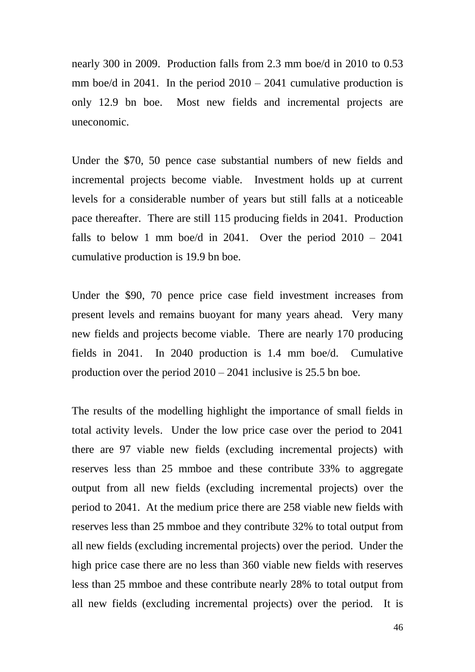nearly 300 in 2009. Production falls from 2.3 mm boe/d in 2010 to 0.53 mm boe/d in 2041. In the period  $2010 - 2041$  cumulative production is only 12.9 bn boe. Most new fields and incremental projects are uneconomic.

Under the \$70, 50 pence case substantial numbers of new fields and incremental projects become viable. Investment holds up at current levels for a considerable number of years but still falls at a noticeable pace thereafter. There are still 115 producing fields in 2041. Production falls to below 1 mm boe/d in 2041. Over the period  $2010 - 2041$ cumulative production is 19.9 bn boe.

Under the \$90, 70 pence price case field investment increases from present levels and remains buoyant for many years ahead. Very many new fields and projects become viable. There are nearly 170 producing fields in 2041. In 2040 production is 1.4 mm boe/d. Cumulative production over the period 2010 – 2041 inclusive is 25.5 bn boe.

The results of the modelling highlight the importance of small fields in total activity levels. Under the low price case over the period to 2041 there are 97 viable new fields (excluding incremental projects) with reserves less than 25 mmboe and these contribute 33% to aggregate output from all new fields (excluding incremental projects) over the period to 2041. At the medium price there are 258 viable new fields with reserves less than 25 mmboe and they contribute 32% to total output from all new fields (excluding incremental projects) over the period. Under the high price case there are no less than 360 viable new fields with reserves less than 25 mmboe and these contribute nearly 28% to total output from all new fields (excluding incremental projects) over the period. It is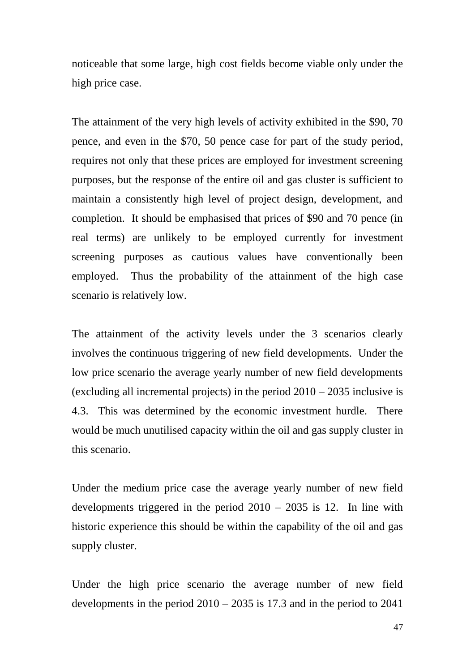noticeable that some large, high cost fields become viable only under the high price case.

The attainment of the very high levels of activity exhibited in the \$90, 70 pence, and even in the \$70, 50 pence case for part of the study period, requires not only that these prices are employed for investment screening purposes, but the response of the entire oil and gas cluster is sufficient to maintain a consistently high level of project design, development, and completion. It should be emphasised that prices of \$90 and 70 pence (in real terms) are unlikely to be employed currently for investment screening purposes as cautious values have conventionally been employed. Thus the probability of the attainment of the high case scenario is relatively low.

The attainment of the activity levels under the 3 scenarios clearly involves the continuous triggering of new field developments. Under the low price scenario the average yearly number of new field developments (excluding all incremental projects) in the period 2010 – 2035 inclusive is 4.3. This was determined by the economic investment hurdle. There would be much unutilised capacity within the oil and gas supply cluster in this scenario.

Under the medium price case the average yearly number of new field developments triggered in the period 2010 – 2035 is 12. In line with historic experience this should be within the capability of the oil and gas supply cluster.

Under the high price scenario the average number of new field developments in the period  $2010 - 2035$  is 17.3 and in the period to 2041